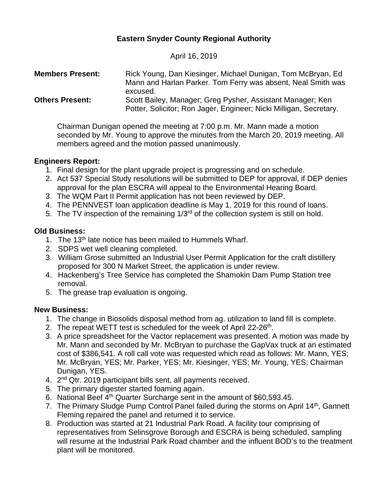# **Eastern Snyder County Regional Authority**

April 16, 2019

| <b>Members Present:</b> | Rick Young, Dan Kiesinger, Michael Dunigan, Tom McBryan, Ed.<br>Mann and Harlan Parker. Tom Ferry was absent, Neal Smith was                 |
|-------------------------|----------------------------------------------------------------------------------------------------------------------------------------------|
| <b>Others Present:</b>  | excused.<br>Scott Bailey, Manager; Greg Pysher, Assistant Manager; Ken<br>Potter, Solicitor; Ron Jager, Engineer; Nicki Milligan, Secretary. |

Chairman Dunigan opened the meeting at 7:00 p.m. Mr. Mann made a motion seconded by Mr. Young to approve the minutes from the March 20, 2019 meeting. All members agreed and the motion passed unanimously.

### **Engineers Report:**

- 1. Final design for the plant upgrade project is progressing and on schedule.
- 2. Act 537 Special Study resolutions will be submitted to DEP for approval, if DEP denies approval for the plan ESCRA will appeal to the Environmental Hearing Board.
- 3. The WQM Part II Permit application has not been reviewed by DEP.
- 4. The PENNVEST loan application deadline is May 1, 2019 for this round of loans.
- 5. The TV inspection of the remaining 1/3<sup>rd</sup> of the collection system is still on hold.

## **Old Business:**

- 1. The 13<sup>th</sup> late notice has been mailed to Hummels Wharf.
- 2. SDPS wet well cleaning completed.
- 3. William Grose submitted an Industrial User Permit Application for the craft distillery proposed for 300 N Market Street, the application is under review.
- 4. Hackenberg's Tree Service has completed the Shamokin Dam Pump Station tree removal.
- 5. The grease trap evaluation is ongoing.

# **New Business:**

- 1. The change in Biosolids disposal method from ag. utilization to land fill is complete.
- 2. The repeat WETT test is scheduled for the week of April 22-26<sup>th</sup>.
- 3. A price spreadsheet for the Vactor replacement was presented. A motion was made by Mr. Mann and seconded by Mr. McBryan to purchase the GapVax truck at an estimated cost of \$386,541. A roll call vote was requested which read as follows: Mr. Mann, YES; Mr. McBryan, YES; Mr. Parker, YES; Mr. Kiesinger, YES; Mr. Young, YES; Chairman Dunigan, YES.
- 4. 2<sup>nd</sup> Qtr. 2019 participant bills sent, all payments received.
- 5. The primary digester started foaming again.
- 6. National Beef 4th Quarter Surcharge sent in the amount of \$60,593.45.
- 7. The Primary Sludge Pump Control Panel failed during the storms on April 14<sup>th</sup>, Gannett Fleming repaired the panel and returned it to service.
- 8. Production was started at 21 Industrial Park Road. A facility tour comprising of representatives from Selinsgrove Borough and ESCRA is being scheduled, sampling will resume at the Industrial Park Road chamber and the influent BOD's to the treatment plant will be monitored.